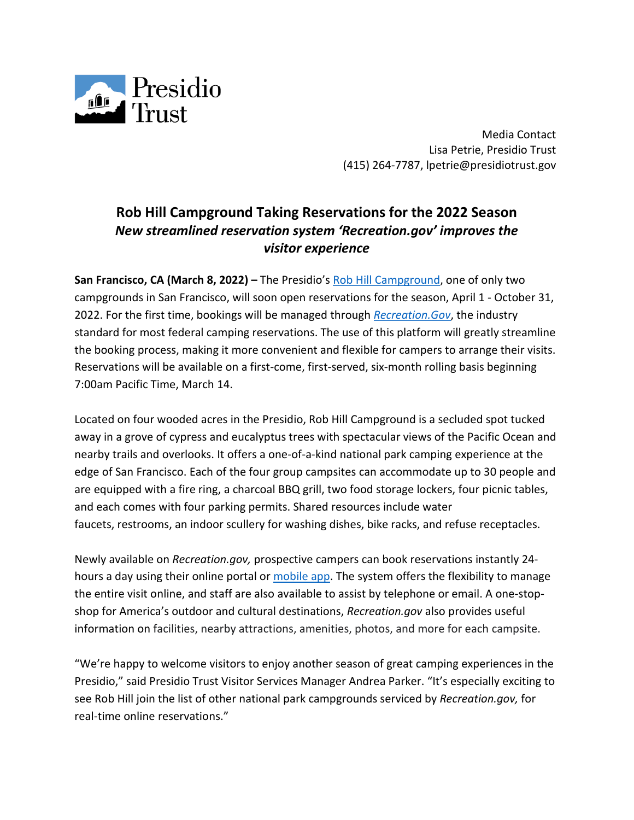

Media Contact Lisa Petrie, Presidio Trust (415) 264-7787, lpetrie@presidiotrust.gov

## **Rob Hill Campground Taking Reservations for the 2022 Season** *New streamlined reservation system 'Recreation.gov' improves the visitor experience*

**San Francisco, CA (March 8, 2022) –** The Presidio's [Rob Hill Campground,](https://www.presidio.gov/lodging/rob-hill-campground) one of only two campgrounds in San Francisco, will soon open reservations for the season, April 1 - October 31, 2022. For the first time, bookings will be managed through *[Recreation.Gov](https://www.recreation.gov/camping/campgrounds/10172170)*, the industry standard for most federal camping reservations. The use of this platform will greatly streamline the booking process, making it more convenient and flexible for campers to arrange their visits. Reservations will be available on a first-come, first-served, six-month rolling basis beginning 7:00am Pacific Time, March 14.

Located on four wooded acres in the Presidio, Rob Hill Campground is a secluded spot tucked away in a grove of cypress and eucalyptus trees with spectacular views of the Pacific Ocean and nearby trails and overlooks. It offers a one-of-a-kind national park camping experience at the edge of San Francisco. Each of the four group campsites can accommodate up to 30 people and are equipped with a fire ring, a charcoal BBQ grill, two food storage lockers, four picnic tables, and each comes with four parking permits. Shared resources include water faucets, restrooms, an indoor scullery for washing dishes, bike racks, and refuse receptacles.

Newly available on *Recreation.gov,* prospective campers can book reservations instantly 24 hours a day using their online portal or [mobile app.](https://www.recreation.gov/mobile-app) The system offers the flexibility to manage the entire visit online, and staff are also available to assist by telephone or email. A one-stopshop for America's outdoor and cultural destinations, *Recreation.gov* also provides useful information on facilities, nearby attractions, amenities, photos, and more for each campsite.

"We're happy to welcome visitors to enjoy another season of great camping experiences in the Presidio," said Presidio Trust Visitor Services Manager Andrea Parker. "It's especially exciting to see Rob Hill join the list of other national park campgrounds serviced by *Recreation.gov,* for real-time online reservations."